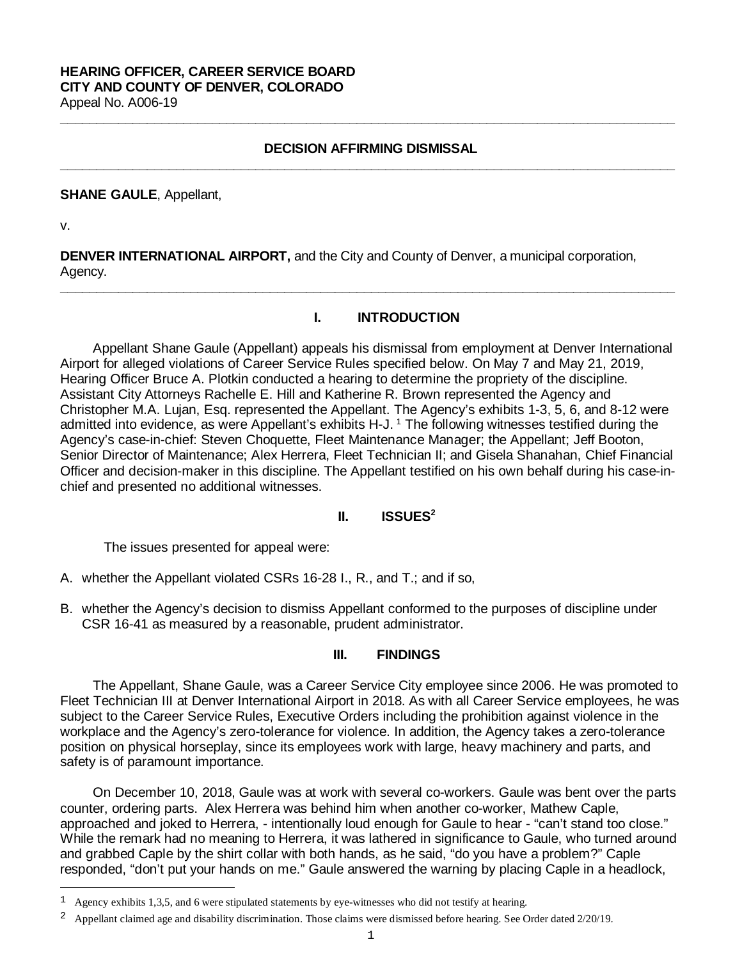#### **HEARING OFFICER, CAREER SERVICE BOARD CITY AND COUNTY OF DENVER, COLORADO** Appeal No. A006-19

# **DECISION AFFIRMING DISMISSAL \_\_\_\_\_\_\_\_\_\_\_\_\_\_\_\_\_\_\_\_\_\_\_\_\_\_\_\_\_\_\_\_\_\_\_\_\_\_\_\_\_\_\_\_\_\_\_\_\_\_\_\_\_\_\_\_\_\_\_\_\_\_\_\_\_\_\_\_\_\_\_\_\_\_\_\_\_\_\_\_\_\_\_\_\_**

**\_\_\_\_\_\_\_\_\_\_\_\_\_\_\_\_\_\_\_\_\_\_\_\_\_\_\_\_\_\_\_\_\_\_\_\_\_\_\_\_\_\_\_\_\_\_\_\_\_\_\_\_\_\_\_\_\_\_\_\_\_\_\_\_\_\_\_\_\_\_\_\_\_\_\_\_\_\_\_\_\_\_\_\_\_**

### **SHANE GAULE**, Appellant,

v.

Ξ

**DENVER INTERNATIONAL AIRPORT,** and the City and County of Denver, a municipal corporation, Agency.

**\_\_\_\_\_\_\_\_\_\_\_\_\_\_\_\_\_\_\_\_\_\_\_\_\_\_\_\_\_\_\_\_\_\_\_\_\_\_\_\_\_\_\_\_\_\_\_\_\_\_\_\_\_\_\_\_\_\_\_\_\_\_\_\_\_\_\_\_\_\_\_\_\_\_\_\_\_\_\_\_\_\_\_\_\_**

### **I. INTRODUCTION**

Appellant Shane Gaule (Appellant) appeals his dismissal from employment at Denver International Airport for alleged violations of Career Service Rules specified below. On May 7 and May 21, 2019, Hearing Officer Bruce A. Plotkin conducted a hearing to determine the propriety of the discipline. Assistant City Attorneys Rachelle E. Hill and Katherine R. Brown represented the Agency and Christopher M.A. Lujan, Esq. represented the Appellant. The Agency's exhibits 1-3, 5, 6, and 8-12 were admitted into evidence, as were Appellant's exhibits H-J.<sup>[1](#page-0-0)</sup> The following witnesses testified during the Agency's case-in-chief: Steven Choquette, Fleet Maintenance Manager; the Appellant; Jeff Booton, Senior Director of Maintenance; Alex Herrera, Fleet Technician II; and Gisela Shanahan, Chief Financial Officer and decision-maker in this discipline. The Appellant testified on his own behalf during his case-inchief and presented no additional witnesses.

## **II. ISSUES[2](#page-0-1)**

The issues presented for appeal were:

- A. whether the Appellant violated CSRs 16-28 I., R., and T.; and if so,
- B. whether the Agency's decision to dismiss Appellant conformed to the purposes of discipline under CSR 16-41 as measured by a reasonable, prudent administrator.

#### **III. FINDINGS**

The Appellant, Shane Gaule, was a Career Service City employee since 2006. He was promoted to Fleet Technician III at Denver International Airport in 2018. As with all Career Service employees, he was subject to the Career Service Rules, Executive Orders including the prohibition against violence in the workplace and the Agency's zero-tolerance for violence. In addition, the Agency takes a zero-tolerance position on physical horseplay, since its employees work with large, heavy machinery and parts, and safety is of paramount importance.

On December 10, 2018, Gaule was at work with several co-workers. Gaule was bent over the parts counter, ordering parts. Alex Herrera was behind him when another co-worker, Mathew Caple, approached and joked to Herrera, - intentionally loud enough for Gaule to hear - "can't stand too close." While the remark had no meaning to Herrera, it was lathered in significance to Gaule, who turned around and grabbed Caple by the shirt collar with both hands, as he said, "do you have a problem?" Caple responded, "don't put your hands on me." Gaule answered the warning by placing Caple in a headlock,

<span id="page-0-0"></span><sup>&</sup>lt;sup>1</sup> Agency exhibits 1,3,5, and 6 were stipulated statements by eye-witnesses who did not testify at hearing.

<span id="page-0-1"></span><sup>&</sup>lt;sup>2</sup> Appellant claimed age and disability discrimination. Those claims were dismissed before hearing. See Order dated 2/20/19.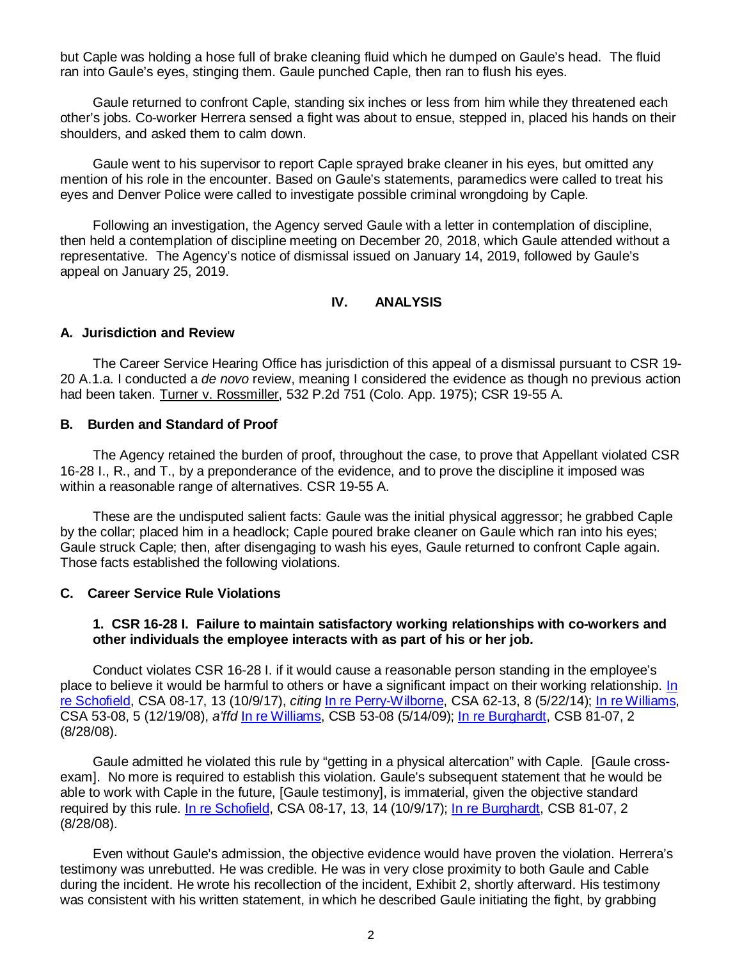but Caple was holding a hose full of brake cleaning fluid which he dumped on Gaule's head. The fluid ran into Gaule's eyes, stinging them. Gaule punched Caple, then ran to flush his eyes.

Gaule returned to confront Caple, standing six inches or less from him while they threatened each other's jobs. Co-worker Herrera sensed a fight was about to ensue, stepped in, placed his hands on their shoulders, and asked them to calm down.

Gaule went to his supervisor to report Caple sprayed brake cleaner in his eyes, but omitted any mention of his role in the encounter. Based on Gaule's statements, paramedics were called to treat his eyes and Denver Police were called to investigate possible criminal wrongdoing by Caple.

Following an investigation, the Agency served Gaule with a letter in contemplation of discipline, then held a contemplation of discipline meeting on December 20, 2018, which Gaule attended without a representative. The Agency's notice of dismissal issued on January 14, 2019, followed by Gaule's appeal on January 25, 2019.

# **IV. ANALYSIS**

### **A. Jurisdiction and Review**

The Career Service Hearing Office has jurisdiction of this appeal of a dismissal pursuant to CSR 19- 20 A.1.a. I conducted a *de novo* review, meaning I considered the evidence as though no previous action had been taken. Turner v. Rossmiller, 532 P.2d 751 (Colo. App. 1975); CSR 19-55 A.

### **B. Burden and Standard of Proof**

The Agency retained the burden of proof, throughout the case, to prove that Appellant violated CSR 16-28 I., R., and T., by a preponderance of the evidence, and to prove the discipline it imposed was within a reasonable range of alternatives. CSR 19-55 A.

These are the undisputed salient facts: Gaule was the initial physical aggressor; he grabbed Caple by the collar; placed him in a headlock; Caple poured brake cleaner on Gaule which ran into his eyes; Gaule struck Caple; then, after disengaging to wash his eyes, Gaule returned to confront Caple again. Those facts established the following violations.

### **C. Career Service Rule Violations**

### **1. CSR 16-28 I. Failure to maintain satisfactory working relationships with co-workers and other individuals the employee interacts with as part of his or her job.**

Conduct violates CSR 16-28 I. if it would cause a reasonable person standing in the employee's place to believe it would be harmful to others or have a significant impact on their working relationship. [In](https://www.denvergov.org/content/dam/denvergov/Portals/hearings_office/documents/Hearings/Schofield_Jerilyn_08-17_10-9-17.pdf)  [re Schofield,](https://www.denvergov.org/content/dam/denvergov/Portals/hearings_office/documents/Hearings/Schofield_Jerilyn_08-17_10-9-17.pdf) CSA 08-17, 13 (10/9/17), *citing* [In re Perry-Wilborne,](https://www.denvergov.org/content/dam/denvergov/Portals/hearings_office/documents/Hearings/Perry-Wilborne_Loretta_62-13_Decision_and_Order.pdf) CSA 62-13, 8 (5/22/14); [In re Williams,](https://www.denvergov.org/content/dam/denvergov/Portals/hearings_office/documents/Hearings/Williams_Karenee_53-08_Order.pdf) CSA 53-08, 5 (12/19/08), *a'ffd* [In re Williams,](https://www.denvergov.org/content/dam/denvergov/Portals/hearings_office/documents/Hearings/Williams_Karenee_53-08_Board_Findings_and_Order.pdf) CSB 53-08 (5/14/09); [In re Burghardt,](https://www.denvergov.org/content/dam/denvergov/Portals/hearings_office/documents/Hearings/Burghardt_81-07_Board_8-28-2008.pdf) CSB 81-07, 2 (8/28/08).

Gaule admitted he violated this rule by "getting in a physical altercation" with Caple. [Gaule crossexam]. No more is required to establish this violation. Gaule's subsequent statement that he would be able to work with Caple in the future, [Gaule testimony], is immaterial, given the objective standard required by this rule. [In re Schofield,](https://www.denvergov.org/content/dam/denvergov/Portals/hearings_office/documents/Hearings/Schofield_Jerilyn_08-17_10-9-17.pdf) CSA 08-17, 13, 14 (10/9/17); [In re Burghardt,](https://www.denvergov.org/content/dam/denvergov/Portals/hearings_office/documents/Hearings/Burghardt_81-07_Board_8-28-2008.pdf) CSB 81-07, 2 (8/28/08).

Even without Gaule's admission, the objective evidence would have proven the violation. Herrera's testimony was unrebutted. He was credible. He was in very close proximity to both Gaule and Cable during the incident. He wrote his recollection of the incident, Exhibit 2, shortly afterward. His testimony was consistent with his written statement, in which he described Gaule initiating the fight, by grabbing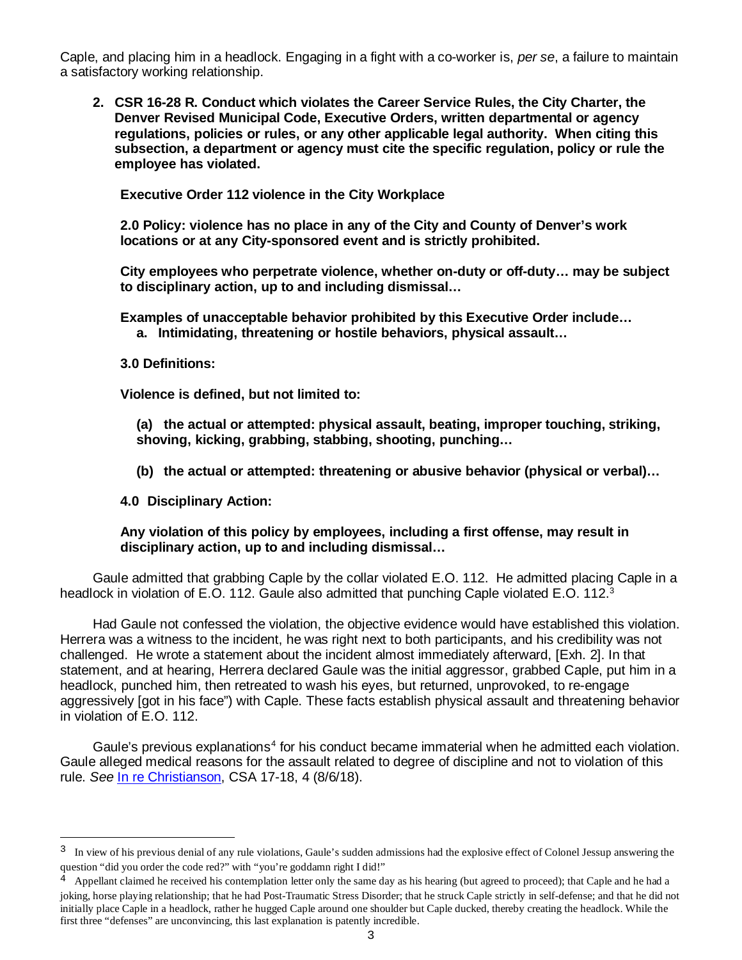Caple, and placing him in a headlock. Engaging in a fight with a co-worker is, *per se*, a failure to maintain a satisfactory working relationship.

**2. CSR 16-28 R. Conduct which violates the Career Service Rules, the City Charter, the Denver Revised Municipal Code, Executive Orders, written departmental or agency regulations, policies or rules, or any other applicable legal authority. When citing this subsection, a department or agency must cite the specific regulation, policy or rule the employee has violated.**

**Executive Order 112 violence in the City Workplace**

**2.0 Policy: violence has no place in any of the City and County of Denver's work locations or at any City-sponsored event and is strictly prohibited.** 

**City employees who perpetrate violence, whether on-duty or off-duty… may be subject to disciplinary action, up to and including dismissal…**

**Examples of unacceptable behavior prohibited by this Executive Order include… a. Intimidating, threatening or hostile behaviors, physical assault…**

**3.0 Definitions:** 

Ξ

**Violence is defined, but not limited to:** 

**(a) the actual or attempted: physical assault, beating, improper touching, striking, shoving, kicking, grabbing, stabbing, shooting, punching…**

**(b) the actual or attempted: threatening or abusive behavior (physical or verbal)…**

**4.0 Disciplinary Action:** 

# **Any violation of this policy by employees, including a first offense, may result in disciplinary action, up to and including dismissal…**

Gaule admitted that grabbing Caple by the collar violated E.O. 112. He admitted placing Caple in a headlock in violation of E.O. 112. Gaule also admitted that punching Caple violated E.O. 112.<sup>3</sup>

Had Gaule not confessed the violation, the objective evidence would have established this violation. Herrera was a witness to the incident, he was right next to both participants, and his credibility was not challenged. He wrote a statement about the incident almost immediately afterward, [Exh. 2]. In that statement, and at hearing, Herrera declared Gaule was the initial aggressor, grabbed Caple, put him in a headlock, punched him, then retreated to wash his eyes, but returned, unprovoked, to re-engage aggressively [got in his face") with Caple. These facts establish physical assault and threatening behavior in violation of E.O. 112.

Gaule's previous explanations<sup>[4](#page-2-1)</sup> for his conduct became immaterial when he admitted each violation. Gaule alleged medical reasons for the assault related to degree of discipline and not to violation of this rule. *See* [In re Christianson,](https://www.denvergov.org/content/dam/denvergov/Portals/hearings_office/documents/Hearings/Christianson_CSA_17-18_Decision_8-6-18.pdf) CSA 17-18, 4 (8/6/18).

<span id="page-2-0"></span><sup>&</sup>lt;sup>3</sup> In view of his previous denial of any rule violations, Gaule's sudden admissions had the explosive effect of Colonel Jessup answering the question "did you order the code red?" with "you're goddamn right I did!"

<span id="page-2-1"></span> $4$  Appellant claimed he received his contemplation letter only the same day as his hearing (but agreed to proceed); that Caple and he had a joking, horse playing relationship; that he had Post-Traumatic Stress Disorder; that he struck Caple strictly in self-defense; and that he did not initially place Caple in a headlock, rather he hugged Caple around one shoulder but Caple ducked, thereby creating the headlock. While the first three "defenses" are unconvincing, this last explanation is patently incredible.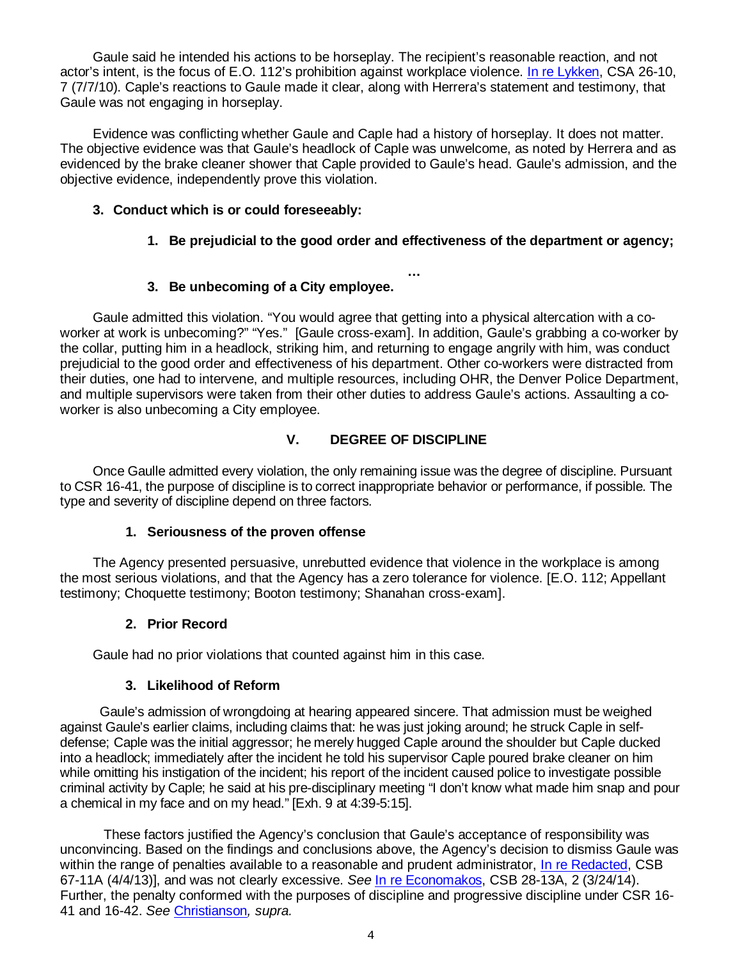Gaule said he intended his actions to be horseplay. The recipient's reasonable reaction, and not actor's intent, is the focus of E.O. 112's prohibition against workplace violence. [In re Lykken,](https://www.denvergov.org/content/dam/denvergov/Portals/hearings_office/documents/Hearings/Lykken_Candace_DECISION.pdf) CSA 26-10, 7 (7/7/10). Caple's reactions to Gaule made it clear, along with Herrera's statement and testimony, that Gaule was not engaging in horseplay.

Evidence was conflicting whether Gaule and Caple had a history of horseplay. It does not matter. The objective evidence was that Gaule's headlock of Caple was unwelcome, as noted by Herrera and as evidenced by the brake cleaner shower that Caple provided to Gaule's head. Gaule's admission, and the objective evidence, independently prove this violation.

# **3. Conduct which is or could foreseeably:**

# **1. Be prejudicial to the good order and effectiveness of the department or agency;**

**…**

# **3. Be unbecoming of a City employee.**

Gaule admitted this violation. "You would agree that getting into a physical altercation with a coworker at work is unbecoming?" "Yes." [Gaule cross-exam]. In addition, Gaule's grabbing a co-worker by the collar, putting him in a headlock, striking him, and returning to engage angrily with him, was conduct prejudicial to the good order and effectiveness of his department. Other co-workers were distracted from their duties, one had to intervene, and multiple resources, including OHR, the Denver Police Department, and multiple supervisors were taken from their other duties to address Gaule's actions. Assaulting a coworker is also unbecoming a City employee.

# **V. DEGREE OF DISCIPLINE**

Once Gaulle admitted every violation, the only remaining issue was the degree of discipline. Pursuant to CSR 16-41, the purpose of discipline is to correct inappropriate behavior or performance, if possible. The type and severity of discipline depend on three factors.

# **1. Seriousness of the proven offense**

The Agency presented persuasive, unrebutted evidence that violence in the workplace is among the most serious violations, and that the Agency has a zero tolerance for violence. [E.O. 112; Appellant testimony; Choquette testimony; Booton testimony; Shanahan cross-exam].

# **2. Prior Record**

Gaule had no prior violations that counted against him in this case.

# **3. Likelihood of Reform**

 Gaule's admission of wrongdoing at hearing appeared sincere. That admission must be weighed against Gaule's earlier claims, including claims that: he was just joking around; he struck Caple in selfdefense; Caple was the initial aggressor; he merely hugged Caple around the shoulder but Caple ducked into a headlock; immediately after the incident he told his supervisor Caple poured brake cleaner on him while omitting his instigation of the incident; his report of the incident caused police to investigate possible criminal activity by Caple; he said at his pre-disciplinary meeting "I don't know what made him snap and pour a chemical in my face and on my head." [Exh. 9 at 4:39-5:15].

These factors justified the Agency's conclusion that Gaule's acceptance of responsibility was unconvincing. Based on the findings and conclusions above, the Agency's decision to dismiss Gaule was within the range of penalties available to a reasonable and prudent administrator, [In re Redacted,](https://www.denvergov.org/content/dam/denvergov/Portals/hearings_office/documents/Hearings/Redacted_CSB_67-11_Decision_4-4-13.pdf) CSB 67-11A (4/4/13)], and was not clearly excessive. *See* [In re Economakos,](https://www.denvergov.org/content/dam/denvergov/Portals/hearings_office/documents/Hearings/Economakos_Steve_28-13_CSB_Decision_and_Order.pdf) CSB 28-13A, 2 (3/24/14). Further, the penalty conformed with the purposes of discipline and progressive discipline under CSR 16- 41 and 16-42. *See* [Christianson](https://www.denvergov.org/content/dam/denvergov/Portals/hearings_office/documents/Hearings/Christianson_CSA_17-18_Decision_8-6-18.pdf)*, supra.*